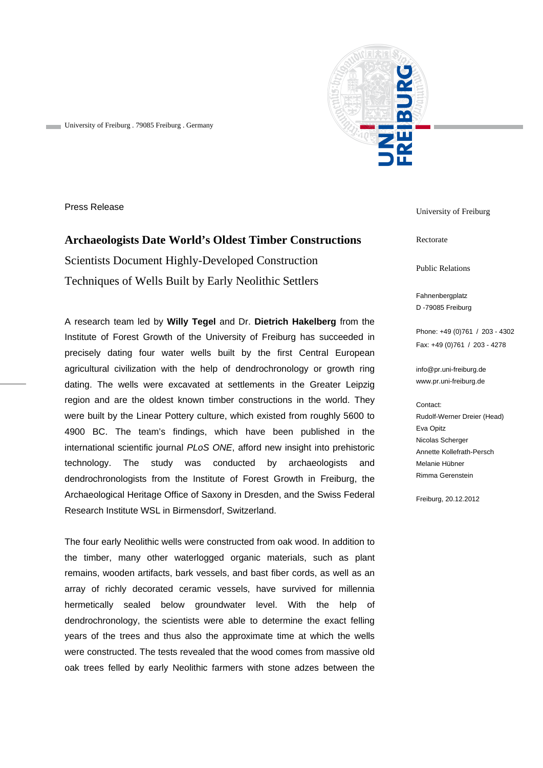

University of Freiburg . 79085 Freiburg . Germany

Press Release

## **Archaeologists Date World's Oldest Timber Constructions**  Scientists Document Highly-Developed Construction Techniques of Wells Built by Early Neolithic Settlers

A research team led by **Willy Tegel** and Dr. **Dietrich Hakelberg** from the Institute of Forest Growth of the University of Freiburg has succeeded in precisely dating four water wells built by the first Central European agricultural civilization with the help of dendrochronology or growth ring dating. The wells were excavated at settlements in the Greater Leipzig region and are the oldest known timber constructions in the world. They were built by the Linear Pottery culture, which existed from roughly 5600 to 4900 BC. The team's findings, which have been published in the international scientific journal *PLoS ONE*, afford new insight into prehistoric technology. The study was conducted by archaeologists and dendrochronologists from the Institute of Forest Growth in Freiburg, the Archaeological Heritage Office of Saxony in Dresden, and the Swiss Federal Research Institute WSL in Birmensdorf, Switzerland.

The four early Neolithic wells were constructed from oak wood. In addition to the timber, many other waterlogged organic materials, such as plant remains, wooden artifacts, bark vessels, and bast fiber cords, as well as an array of richly decorated ceramic vessels, have survived for millennia hermetically sealed below groundwater level. With the help of dendrochronology, the scientists were able to determine the exact felling years of the trees and thus also the approximate time at which the wells were constructed. The tests revealed that the wood comes from massive old oak trees felled by early Neolithic farmers with stone adzes between the University of Freiburg

Rectorate

Public Relations

Fahnenbergplatz D -79085 Freiburg

Phone: +49 (0)761 / 203 - 4302 Fax: +49 (0)761 / 203 - 4278

info@pr.uni-freiburg.de www.pr.uni-freiburg.de

## Contact: Rudolf-Werner Dreier (Head) Eva Opitz Nicolas Scherger Annette Kollefrath-Persch Melanie Hübner Rimma Gerenstein

Freiburg, 20.12.2012